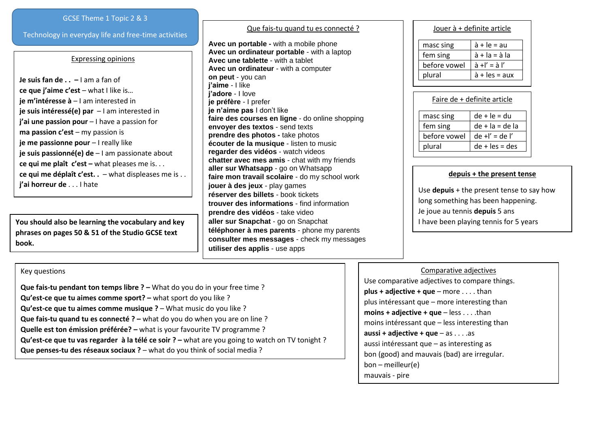### GCSE Theme 1 Topic 2 & 3

Technology in everyday life and free-time activities

### Expressing opinions

**Je suis fan de . . –** I am a fan of **ce que j'aime c'est** – what I like is… **je m'intéresse à** – I am interested in **je suis intéressé(e) par** – I am interested in **j'ai une passion pour** – I have a passion for **ma passion c'est** – my passion is **je me passionne pour** – I really like **je suis passionné(e) de** – I am passionate about **ce qui me plaît c'est –** what pleases me is. . . **ce qui me déplaît c'est. .** – what displeases me is . . **j'ai horreur de** . . . I hate

**You should also be learning the vocabulary and key phrases on pages 50 & 51 of the Studio GCSE text book.**

## Que fais-tu quand tu es connecté ?

**Avec un portable -** with a mobile phone **Avec un ordinateur portable** - with a laptop **Avec une tablette** - with a tablet **Avec un ordinateur** - with a computer **on peut** - you can **j'aime** - I like **j'adore** - I love **je préfère** - I prefer **je n'aime pas** I don't like **faire des courses en ligne** - do online shopping **envoyer des textos** - send texts **prendre des photos -** take photos **écouter de la musique** - listen to music **regarder des vidéos** - watch videos **chatter avec mes amis** - chat with my friends **aller sur Whatsapp** - go on Whatsapp **faire mon travail scolaire** - do my school work **jouer à des jeux** - play games **réserver des billets** - book tickets **trouver des informations** - find information **prendre des vidéos** - take video **aller sur Snapchat** - go on Snapchat **téléphoner à mes parents** - phone my parents **consulter mes messages** - check my messages **utiliser des applis** - use apps

#### Jouer à + definite article

| masc sing    | $\dot{a}$ + le = au           |  |  |
|--------------|-------------------------------|--|--|
| fem sing     | $\dot{a}$ + la = $\dot{a}$ la |  |  |
| before vowel | $\lambda + l' = \lambda l'$   |  |  |
| plural       | $\dot{a}$ + les = aux         |  |  |

| Faire de + definite article |                   |  |  |  |
|-----------------------------|-------------------|--|--|--|
| masc sing                   | $de + le = du$    |  |  |  |
| fem sing                    | $de + la = de la$ |  |  |  |
| before vowel                | $de + l' = de l'$ |  |  |  |
| plural                      | $de + les = des$  |  |  |  |

#### **depuis + the present tense**

Use **depuis** + the present tense to say how long something has been happening. Je joue au tennis **depuis** 5 ans I have been playing tennis for 5 years

# Key questions

**Que fais-tu pendant ton temps libre ? –** What do you do in your free time? **Qu'est-ce que tu aimes comme sport? –** what sport do you like ? **Qu'est-ce que tu aimes comme musique ?** – What music do you like ? **Que fais-tu quand tu es connecté ? – what do you do when you are on line ? Quelle est ton émission préférée? –** what is your favourite TV programme ? **Qu'est-ce que tu vas regarder à la télé ce soir ? – what are you going to watch on TV tonight ? Que penses-tu des réseaux sociaux ?** – what do you think of social media ?

#### Comparative adjectives

Use comparative adjectives to compare things. **plus + adjective + que** – more . . . . than plus intéressant que – more interesting than **moins + adjective + que** – less . . . .than moins intéressant que – less interesting than **aussi + adjective + que** – as . . . .as aussi intéressant que – as interesting as bon (good) and mauvais (bad) are irregular. bon – meilleur(e) mauvais - pire